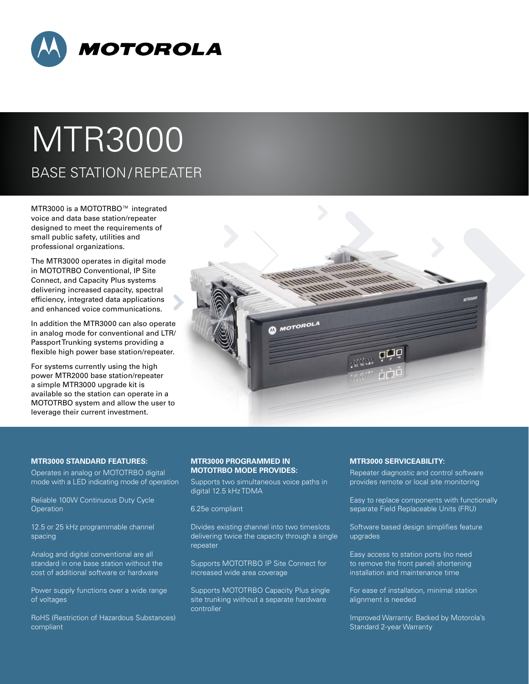

# MTR3000 BASE STATION / REPEATER

MTR3000 is a MOTOTRBO™ integrated voice and data base station/repeater designed to meet the requirements of small public safety, utilities and professional organizations.

The MTR3000 operates in digital mode in MOTOTRBO Conventional, IP Site Connect, and Capacity Plus systems delivering increased capacity, spectral efficiency, integrated data applications and enhanced voice communications.

In addition the MTR3000 can also operate in analog mode for conventional and LTR/ Passport Trunking systems providing a flexible high power base station/repeater.

For systems currently using the high power MTR2000 base station/repeater a simple MTR3000 upgrade kit is available so the station can operate in a MOTOTRBO system and allow the user to leverage their current investment.



## **MTR3000 STANDARD FEATURES:**

Operates in analog or MOTOTRBO digital mode with a LED indicating mode of operation

Reliable 100W Continuous Duty Cycle **Operation** 

12.5 or 25 kHz programmable channel spacing

Analog and digital conventional are all standard in one base station without the cost of additional software or hardware

Power supply functions over a wide range of voltages

RoHS (Restriction of Hazardous Substances) compliant

# **MTR3000 PROGRAMMED IN MOTOTRBO MODE PROVIDES:**

Supports two simultaneous voice paths in digital 12.5 kHz TDMA

6.25e compliant

Divides existing channel into two timeslots delivering twice the capacity through a single repeater

Supports MOTOTRBO IP Site Connect for increased wide area coverage

Supports MOTOTRBO Capacity Plus single site trunking without a separate hardware controller

## **MTR3000 SERVICEABILITY:**

Repeater diagnostic and control software provides remote or local site monitoring

Easy to replace components with functionally separate Field Replaceable Units (FRU)

Software based design simplifies feature upgrades

Easy access to station ports (no need to remove the front panel) shortening installation and maintenance time

For ease of installation, minimal station alignment is needed

Improved Warranty: Backed by Motorola's Standard 2-year Warranty